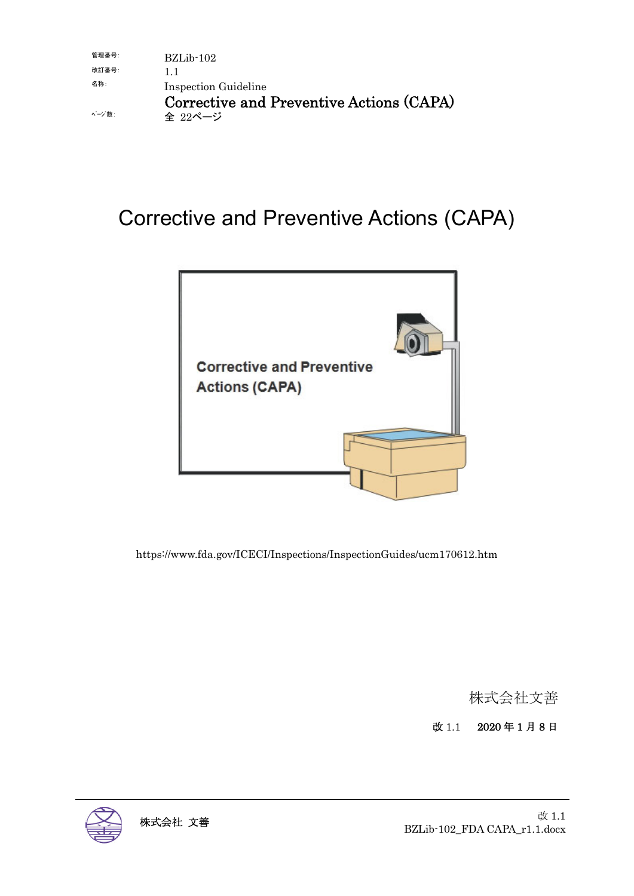| 管理番号:  | $BZLib-102$                              |
|--------|------------------------------------------|
| 改訂番号:  | וו                                       |
| 名称:    | Inspection Guideline                     |
|        | Corrective and Preventive Actions (CAPA) |
| ページ 数: | 全 22ページ                                  |

# Corrective and Preventive Actions (CAPA)



https://www.fda.gov/ICECI/Inspections/InspectionGuides/ucm170612.htm

株式会社文善

改 1.1 2020 年 1 月 8 日

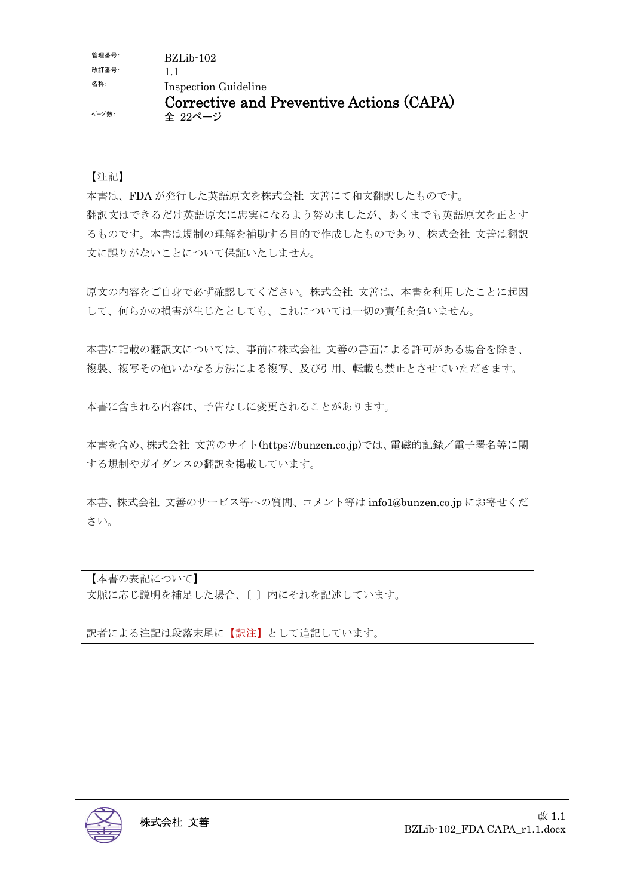| 管理番号:  | $BZLib-102$                              |
|--------|------------------------------------------|
| 改訂番号:  | וו                                       |
| 名称:    | Inspection Guideline                     |
|        | Corrective and Preventive Actions (CAPA) |
| ページ 数: | 全 22ページ                                  |

#### 【注記】

本書は、FDA が発行した英語原文を株式会社 文善にて和文翻訳したものです。 翻訳文はできるだけ英語原文に忠実になるよう努めましたが、あくまでも英語原文を正とす るものです。本書は規制の理解を補助する目的で作成したものであり、株式会社 文善は翻訳 文に誤りがないことについて保証いたしません。

原文の内容をご自身で必ず確認してください。株式会社 文善は、本書を利用したことに起因 して、何らかの損害が生じたとしても、これについては一切の責任を負いません。

本書に記載の翻訳文については、事前に株式会社 文善の書面による許可がある場合を除き、 複製、複写その他いかなる方法による複写、及び引用、転載も禁止とさせていただきます。

本書に含まれる内容は、予告なしに変更されることがあります。

本書を含め、株式会社 文善のサイト(https://bunzen.co.jp)では、電磁的記録/電子署名等に関 する規制やガイダンスの翻訳を掲載しています。

本書、株式会社 文善のサービス等への質問、コメント等は info1@bunzen.co.jp にお寄せくだ さい。

【本書の表記について】 文脈に応じ説明を補足した場合、〔 〕内にそれを記述しています。

訳者による注記は段落末尾に【訳注】として追記しています。

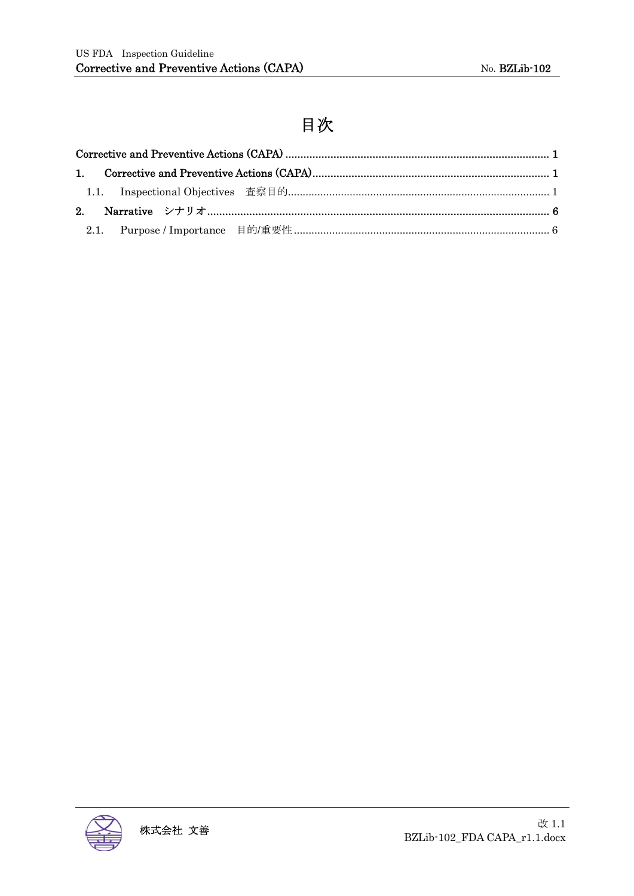## 目次

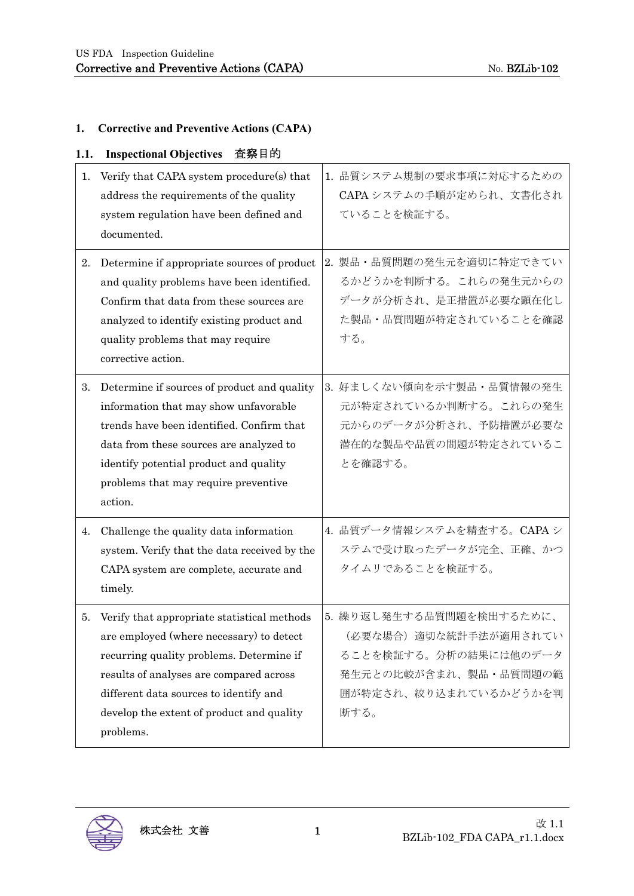### **1. Corrective and Preventive Actions (CAPA)**

| 1.1. | <b>Inspectional Objectives</b><br>査察目的                                                                                                                                                                                                                                             |                                                                                                                                       |
|------|------------------------------------------------------------------------------------------------------------------------------------------------------------------------------------------------------------------------------------------------------------------------------------|---------------------------------------------------------------------------------------------------------------------------------------|
| 1.   | Verify that CAPA system procedure(s) that<br>address the requirements of the quality<br>system regulation have been defined and<br>documented.                                                                                                                                     | 1. 品質システム規制の要求事項に対応するための<br>CAPA システムの手順が定められ、文書化され<br>ていることを検証する。                                                                    |
| 2.   | Determine if appropriate sources of product<br>and quality problems have been identified.<br>Confirm that data from these sources are<br>analyzed to identify existing product and<br>quality problems that may require<br>corrective action.                                      | 2. 製品・品質問題の発生元を適切に特定できてい<br>るかどうかを判断する。これらの発生元からの<br>データが分析され、是正措置が必要な顕在化し<br>た製品・品質問題が特定されていることを確認<br>する。                            |
| 3.   | Determine if sources of product and quality<br>information that may show unfavorable<br>trends have been identified. Confirm that<br>data from these sources are analyzed to<br>identify potential product and quality<br>problems that may require preventive<br>action.          | 3. 好ましくない傾向を示す製品・品質情報の発生<br>元が特定されているか判断する。これらの発生<br>元からのデータが分析され、予防措置が必要な<br>潜在的な製品や品質の問題が特定されているこ<br>とを確認する。                        |
| 4.   | Challenge the quality data information<br>system. Verify that the data received by the<br>CAPA system are complete, accurate and<br>timely.                                                                                                                                        | 4. 品質データ情報システムを精査する。CAPAシ<br>ステムで受け取ったデータが完全、正確、かつ<br>タイムリであることを検証する。                                                                 |
| 5.   | Verify that appropriate statistical methods<br>are employed (where necessary) to detect<br>recurring quality problems. Determine if<br>results of analyses are compared across<br>different data sources to identify and<br>develop the extent of product and quality<br>problems. | 5. 繰り返し発生する品質問題を検出するために、<br>(必要な場合) 適切な統計手法が適用されてい<br>ることを検証する。分析の結果には他のデータ<br>発生元との比較が含まれ、製品・品質問題の範<br>囲が特定され、絞り込まれているかどうかを判<br>断する。 |

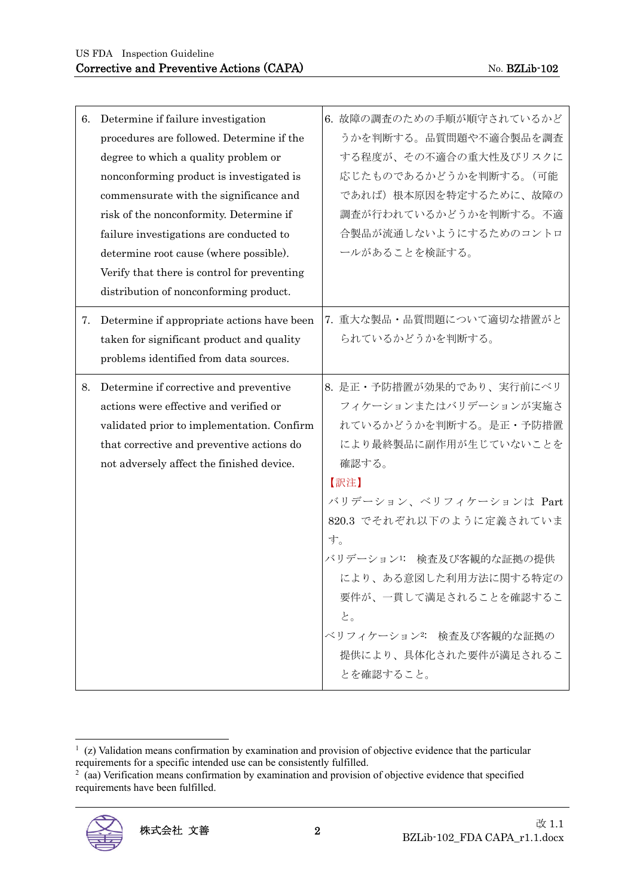| 6. | Determine if failure investigation<br>procedures are followed. Determine if the<br>degree to which a quality problem or<br>nonconforming product is investigated is<br>commensurate with the significance and<br>risk of the nonconformity. Determine if<br>failure investigations are conducted to<br>determine root cause (where possible).<br>Verify that there is control for preventing<br>distribution of nonconforming product. |    | 6. 故障の調査のための手順が順守されているかど<br>うかを判断する。品質問題や不適合製品を調査<br>する程度が、その不適合の重大性及びリスクに<br>応じたものであるかどうかを判断する。(可能<br>であれば)根本原因を特定するために、故障の<br>調査が行われているかどうかを判断する。不適<br>合製品が流通しないようにするためのコントロ<br>ールがあることを検証する。                                                                                                                                 |
|----|----------------------------------------------------------------------------------------------------------------------------------------------------------------------------------------------------------------------------------------------------------------------------------------------------------------------------------------------------------------------------------------------------------------------------------------|----|---------------------------------------------------------------------------------------------------------------------------------------------------------------------------------------------------------------------------------------------------------------------------------------------------------------------------------|
| 7. | Determine if appropriate actions have been<br>taken for significant product and quality<br>problems identified from data sources.                                                                                                                                                                                                                                                                                                      |    | 7. 重大な製品·品質問題について適切な措置がと<br>られているかどうかを判断する。                                                                                                                                                                                                                                                                                     |
| 8. | Determine if corrective and preventive<br>actions were effective and verified or<br>validated prior to implementation. Confirm<br>that corrective and preventive actions do<br>not adversely affect the finished device.                                                                                                                                                                                                               | す。 | 8. 是正・予防措置が効果的であり、実行前にベリ<br>フィケーションまたはバリデーションが実施さ<br>れているかどうかを判断する。是正・予防措置<br>により最終製品に副作用が生じていないことを<br>確認する。<br>【訳注】<br>バリデーション、ベリフィケーションは Part<br>820.3 でそれぞれ以下のように定義されていま<br>バリデーション1: 検査及び客観的な証拠の提供<br>により、ある意図した利用方法に関する特定の<br>要件が、一貫して満足されることを確認するこ<br>と。<br>ベリフィケーション2: 検査及び客観的な証拠の<br>提供により、具体化された要件が満足されるこ<br>とを確認すること。 |

requirements have been fulfilled.



 $\frac{1}{2}$  (z) Validation means confirmation by examination and provision of objective evidence that the particular requirements for a specific intended use can be consistently fulfilled.<br><sup>2</sup> (aa) Verification means confirmation by examination and provision of objective evidence that specified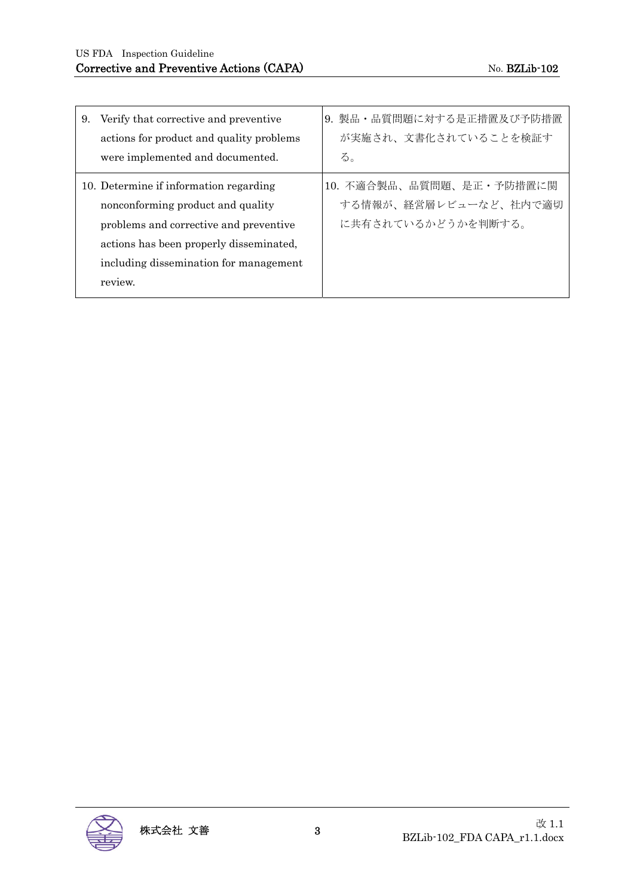| 9. | Verify that corrective and preventive<br>actions for product and quality problems<br>were implemented and documented.                                                                                                 | 9. 製品・品質問題に対する是正措置及び予防措置<br>が実施され、文書化されていることを検証す<br>る。                  |
|----|-----------------------------------------------------------------------------------------------------------------------------------------------------------------------------------------------------------------------|-------------------------------------------------------------------------|
|    | 10. Determine if information regarding<br>nonconforming product and quality<br>problems and corrective and preventive<br>actions has been properly disseminated,<br>including dissemination for management<br>review. | 10. 不適合製品、品質問題、是正・予防措置に関<br>する情報が、経営層レビューなど、社内で適切<br>に共有されているかどうかを判断する。 |

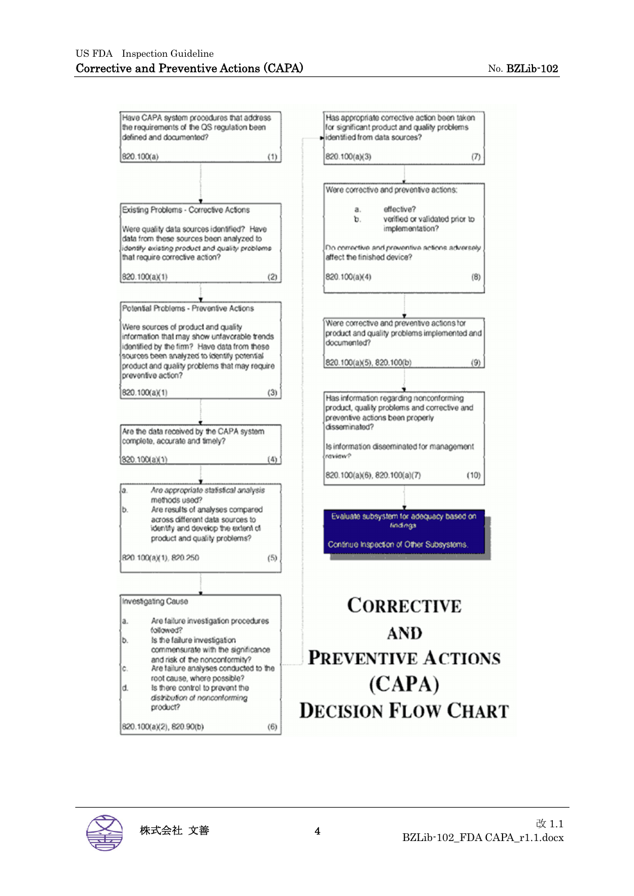| Have CAPA system procedures that address                                                     | Has appropriate corrective action been taken                                            |
|----------------------------------------------------------------------------------------------|-----------------------------------------------------------------------------------------|
| the requirements of the QS regulation been<br>defined and documented?                        | for significant product and quality problems<br>lidentified from data sources?          |
|                                                                                              |                                                                                         |
| 820.100(a)<br>(1)                                                                            | 820.100(a)(3)<br>(7)                                                                    |
|                                                                                              |                                                                                         |
|                                                                                              | Were corrective and preventive actions:                                                 |
|                                                                                              |                                                                                         |
| Existing Problems - Corrective Actions                                                       | effective?<br>a.                                                                        |
|                                                                                              | b.<br>verified or validated prior to                                                    |
| Were quality data sources identified? Have<br>data from these sources been analyzed to       | implementation?                                                                         |
| dentify existing product and quality problems                                                | Do corrective and preventive actions adversely                                          |
| that require corrective action?                                                              | affect the finished device?                                                             |
| (2)<br>820.100(a)(1)                                                                         | 820.100(a)(4)<br>(8)                                                                    |
|                                                                                              |                                                                                         |
| Potential Problems - Preventive Actions                                                      |                                                                                         |
|                                                                                              | Were corrective and preventive actions for                                              |
| Were sources of product and quality                                                          | product and quality problems implemented and                                            |
| information that may show unfavorable trends<br>identified by the firm? Have data from these | documented?                                                                             |
| sources been analyzed to identify potential                                                  |                                                                                         |
| product and quality problems that may require                                                | (9)<br>820.100(a)(5), 820.100(b)                                                        |
| preventive action?                                                                           |                                                                                         |
| 820.100(a)(1)<br>(3)                                                                         |                                                                                         |
|                                                                                              | Has information regarding nonconforming<br>product, quality problems and corrective and |
|                                                                                              | preventive actions been properly                                                        |
| Are the data received by the CAPA system                                                     | disseminated?                                                                           |
| complete, accurate and timely?                                                               |                                                                                         |
|                                                                                              | Is information disseminated for management<br>raview?                                   |
| 820.100(a)(1)<br>(4)                                                                         |                                                                                         |
|                                                                                              | 820.100(a)(6), 820.100(a)(7)<br>(10)                                                    |
| Are appropriate statistical analysis<br>a.                                                   |                                                                                         |
| methods used?                                                                                |                                                                                         |
| Are results of analyses compared<br>b.                                                       | Evaluate subsystem for adequacy based on                                                |
| across different data sources to<br>identify and develop the extent of                       | findings                                                                                |
| product and quality problems?                                                                |                                                                                         |
|                                                                                              | Continue Inspection of Other Subsystems.                                                |
| 820.100(a)(1), 820.250<br>(5)                                                                |                                                                                         |
|                                                                                              |                                                                                         |
|                                                                                              |                                                                                         |
| Investigating Cause                                                                          | <b>CORRECTIVE</b>                                                                       |
| Are failure investigation procedures<br>ā.                                                   |                                                                                         |
| followed?                                                                                    | AND                                                                                     |
| Is the failure investigation<br>b.                                                           |                                                                                         |
| commensurate with the significance                                                           |                                                                                         |
| and risk of the nonconformity?                                                               | <b>PREVENTIVE ACTIONS</b>                                                               |
| Are failure analyses conducted to the<br>Ĉ.<br>root cause, where possible?                   |                                                                                         |
| is there control to prevent the<br>d.                                                        | (CAPA)                                                                                  |
| distribution of nonconforming                                                                |                                                                                         |
| product?                                                                                     | <b>DECISION FLOW CHART</b>                                                              |
|                                                                                              |                                                                                         |
| 820.100(a)(2), 820.90(b)<br>(6)                                                              |                                                                                         |

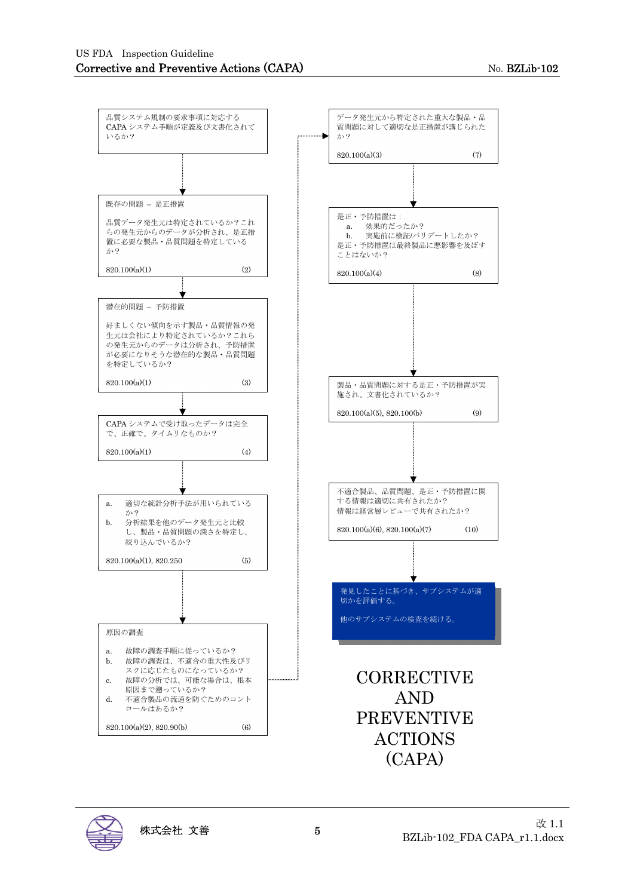

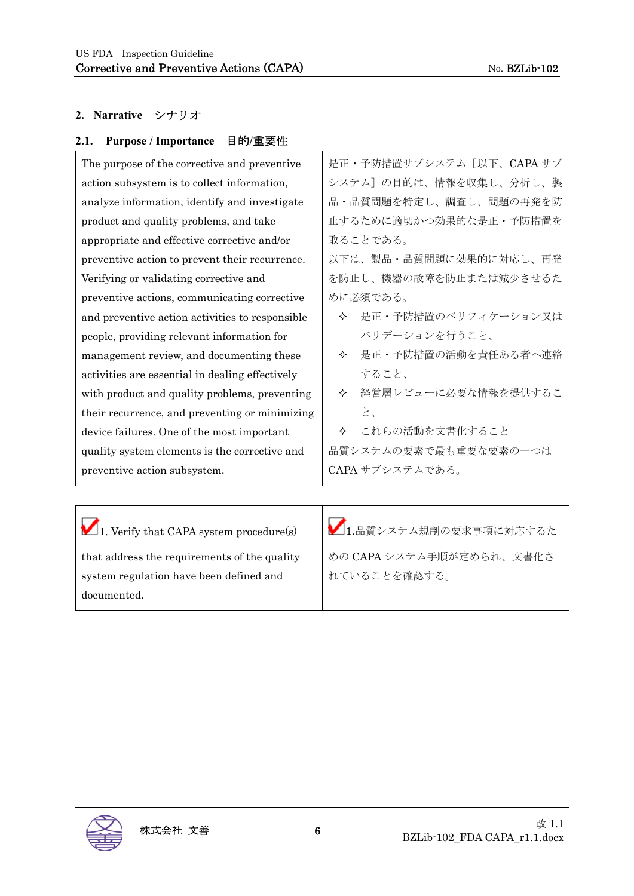### **2. Narrative** シナリオ

| 目的/重要性<br>2.1. Purpose / Importance           |         |
|-----------------------------------------------|---------|
| The purpose of the corrective and preventive  | 是正·予防措置 |
| action subsystem is to collect information,   | システム]の目 |
| analyze information, identify and investigate | 品·品質問題を |

product and quality problems, and take appropriate and effective corrective and/or preventive action to prevent their recurrence. Verifying or validating corrective and preventive actions, communicating corrective and preventive action activities to responsible people, providing relevant information for management review, and documenting these activities are essential in dealing effectively with product and quality problems, preventing their recurrence, and preventing or minimizing device failures. One of the most important quality system elements is the corrective and preventive action subsystem.

量サブシステム [以下、CAPA サブ 的は、情報を収集し、分析し、製 品・品質問題を特定し、調査し、問題の再発を防 止するために適切かつ効果的な是正・予防措置を 取ることである。

以下は、製品・品質問題に効果的に対応し、再発 を防止し、機器の故障を防止または減少させるた めに必須である。

- 是正・予防措置のベリフィケーション又は バリデーションを行うこと、
- 是正・予防措置の活動を責任ある者へ連絡 すること、
- 経営層レビューに必要な情報を提供するこ と、
- これらの活動を文書化すること

品質システムの要素で最も重要な要素の一つは CAPA サブシステムである。

 $\blacksquare$  1. Verify that CAPA system procedure(s) that address the requirements of the quality system regulation have been defined and documented.  $\blacksquare$ 1.品質システム規制の要求事項に対応するた めの CAPA システム手順が定められ、文書化さ れていることを確認する。

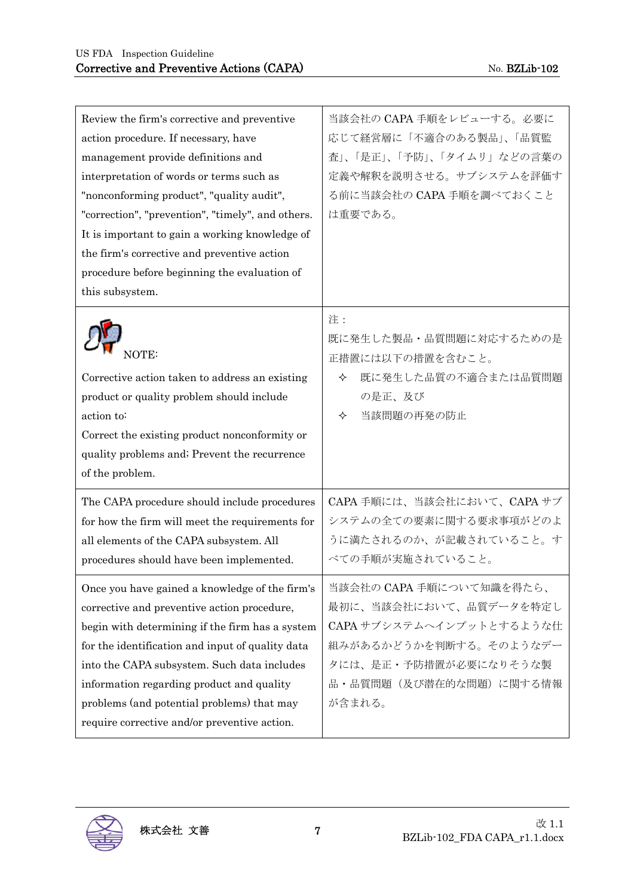| Review the firm's corrective and preventive<br>action procedure. If necessary, have<br>management provide definitions and<br>interpretation of words or terms such as<br>"nonconforming product", "quality audit",<br>"correction", "prevention", "timely", and others.<br>It is important to gain a working knowledge of<br>the firm's corrective and preventive action<br>procedure before beginning the evaluation of<br>this subsystem. | 当該会社の CAPA 手順をレビューする。必要に<br>応じて経営層に「不適合のある製品」、「品質監<br>査」、「是正」、「予防」、「タイムリ」などの言葉の<br>定義や解釈を説明させる。サブシステムを評価す<br>る前に当該会社の CAPA 手順を調べておくこと<br>は重要である。                      |
|---------------------------------------------------------------------------------------------------------------------------------------------------------------------------------------------------------------------------------------------------------------------------------------------------------------------------------------------------------------------------------------------------------------------------------------------|-----------------------------------------------------------------------------------------------------------------------------------------------------------------------|
| NOTE:<br>Corrective action taken to address an existing<br>product or quality problem should include<br>action to:<br>Correct the existing product nonconformity or<br>quality problems and; Prevent the recurrence<br>of the problem.                                                                                                                                                                                                      | 注:<br>既に発生した製品・品質問題に対応するための是<br>正措置には以下の措置を含むこと。<br>既に発生した品質の不適合または品質問題<br>✧<br>の是正、及び<br>当該問題の再発の防止<br>✧                                                             |
| The CAPA procedure should include procedures<br>for how the firm will meet the requirements for<br>all elements of the CAPA subsystem. All<br>procedures should have been implemented.                                                                                                                                                                                                                                                      | CAPA 手順には、当該会社において、CAPA サブ<br>システムの全ての要素に関する要求事項がどのよ<br>うに満たされるのか、が記載されていること。す<br>べての手順が実施されていること。                                                                    |
| Once you have gained a knowledge of the firm's<br>corrective and preventive action procedure,<br>begin with determining if the firm has a system<br>for the identification and input of quality data<br>into the CAPA subsystem. Such data includes<br>information regarding product and quality<br>problems (and potential problems) that may<br>require corrective and/or preventive action.                                              | 当該会社の CAPA 手順について知識を得たら、<br>最初に、当該会社において、品質データを特定し<br>CAPA サブシステムへインプットとするような仕<br>組みがあるかどうかを判断する。そのようなデー<br>タには、是正・予防措置が必要になりそうな製<br>品・品質問題(及び潜在的な問題)に関する情報<br>が含まれる。 |

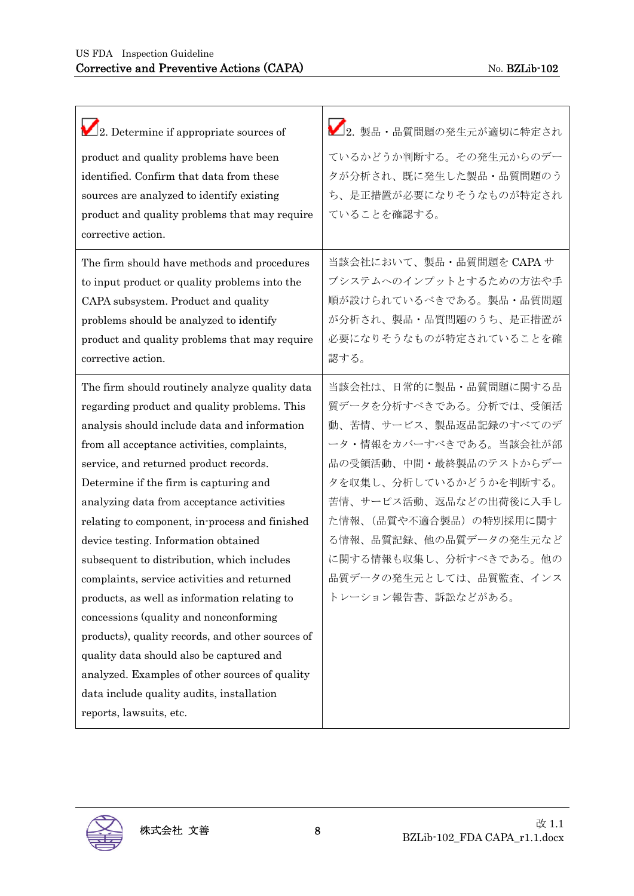| $\Box$ 2. Determine if appropriate sources of                                                                                                                                                                                                                                                                                                                                                                                                                                                                                                                                                                                                                                                                                                                                                                                             | 2. 製品・品質問題の発生元が適切に特定され                                                                                                                                                                                                                                                                                           |
|-------------------------------------------------------------------------------------------------------------------------------------------------------------------------------------------------------------------------------------------------------------------------------------------------------------------------------------------------------------------------------------------------------------------------------------------------------------------------------------------------------------------------------------------------------------------------------------------------------------------------------------------------------------------------------------------------------------------------------------------------------------------------------------------------------------------------------------------|------------------------------------------------------------------------------------------------------------------------------------------------------------------------------------------------------------------------------------------------------------------------------------------------------------------|
| product and quality problems have been<br>identified. Confirm that data from these<br>sources are analyzed to identify existing<br>product and quality problems that may require<br>corrective action.                                                                                                                                                                                                                                                                                                                                                                                                                                                                                                                                                                                                                                    | ているかどうか判断する。その発生元からのデー<br>タが分析され、既に発生した製品・品質問題のう<br>ち、是正措置が必要になりそうなものが特定され<br>ていることを確認する。                                                                                                                                                                                                                        |
| The firm should have methods and procedures<br>to input product or quality problems into the<br>CAPA subsystem. Product and quality<br>problems should be analyzed to identify<br>product and quality problems that may require<br>corrective action.                                                                                                                                                                                                                                                                                                                                                                                                                                                                                                                                                                                     | 当該会社において、製品·品質問題を CAPA サ<br>ブシステムへのインプットとするための方法や手<br>順が設けられているべきである。製品・品質問題<br>が分析され、製品・品質問題のうち、是正措置が<br>必要になりそうなものが特定されていることを確<br>認する。                                                                                                                                                                         |
| The firm should routinely analyze quality data<br>regarding product and quality problems. This<br>analysis should include data and information<br>from all acceptance activities, complaints,<br>service, and returned product records.<br>Determine if the firm is capturing and<br>analyzing data from acceptance activities<br>relating to component, in process and finished<br>device testing. Information obtained<br>subsequent to distribution, which includes<br>complaints, service activities and returned<br>products, as well as information relating to<br>concessions (quality and nonconforming<br>products), quality records, and other sources of<br>quality data should also be captured and<br>analyzed. Examples of other sources of quality<br>data include quality audits, installation<br>reports, lawsuits, etc. | 当該会社は、日常的に製品・品質問題に関する品<br>質データを分析すべきである。分析では、受領活<br>動、苦情、サービス、製品返品記録のすべてのデ<br>ータ・情報をカバーすべきである。当該会社が部<br>品の受領活動、中間・最終製品のテストからデー<br>タを収集し、分析しているかどうかを判断する。<br>苦情、サービス活動、返品などの出荷後に入手し<br>た情報、(品質や不適合製品)の特別採用に関す<br>る情報、品質記録、他の品質データの発生元など<br>に関する情報も収集し、分析すべきである。他の<br>品質データの発生元としては、品質監査、インス<br>トレーション報告書、訴訟などがある。 |

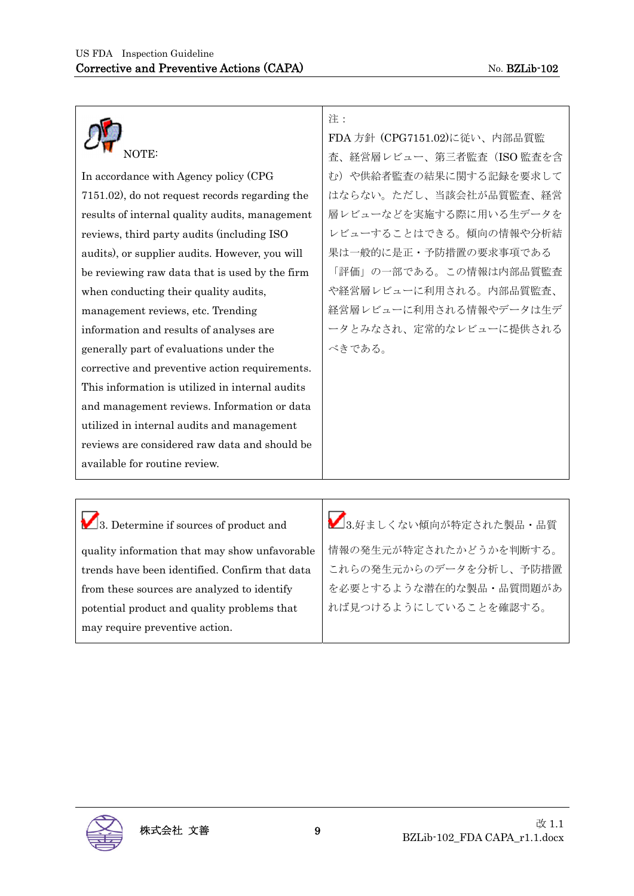

In accordance with Agency policy (CPG 7151.02), do not request records regarding the results of internal quality audits, management reviews, third party audits (including ISO audits), or supplier audits. However, you will be reviewing raw data that is used by the firm when conducting their quality audits, management reviews, etc. Trending information and results of analyses are generally part of evaluations under the corrective and preventive action requirements. This information is utilized in internal audits and management reviews. Information or data utilized in internal audits and management reviews are considered raw data and should be available for routine review.

注:

FDA 方針 (CPG7151.02)に従い、内部品質監 査、経営層レビュー、第三者監査(ISO 監査を含 む)や供給者監査の結果に関する記録を要求して はならない。ただし、当該会社が品質監査、経営 層レビューなどを実施する際に用いる生データを レビューすることはできる。傾向の情報や分析結 果は一般的に是正・予防措置の要求事項である 「評価」の一部である。この情報は内部品質監査 や経営層レビューに利用される。内部品質監査、 経営層レビューに利用される情報やデータは生デ ータとみなされ、定常的なレビューに提供される べきである。

3. Determine if sources of product and quality information that may show unfavorable trends have been identified. Confirm that data from these sources are analyzed to identify potential product and quality problems that may require preventive action.

 $\sum_{3.5}$ ましくない傾向が特定された製品・品質 情報の発生元が特定されたかどうかを判断する。 これらの発生元からのデータを分析し、予防措置 を必要とするような潜在的な製品・品質問題があ れば見つけるようにしていることを確認する。

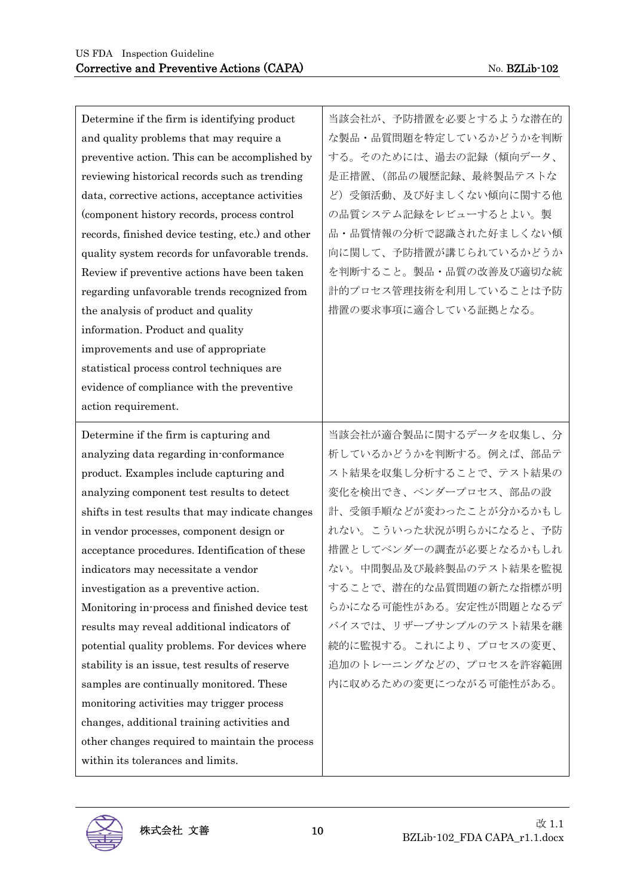| Determine if the firm is identifying product      | 当該会社が、予防措置を必要とするような潜在的 |
|---------------------------------------------------|------------------------|
| and quality problems that may require a           | な製品・品質問題を特定しているかどうかを判断 |
| preventive action. This can be accomplished by    | する。そのためには、過去の記録(傾向データ、 |
| reviewing historical records such as trending     | 是正措置、(部品の履歴記録、最終製品テストな |
| data, corrective actions, acceptance activities   | ど)受領活動、及び好ましくない傾向に関する他 |
| (component history records, process control       | の品質システム記録をレビューするとよい。製  |
| records, finished device testing, etc.) and other | 品・品質情報の分析で認識された好ましくない傾 |
| quality system records for unfavorable trends.    | 向に関して、予防措置が講じられているかどうか |
| Review if preventive actions have been taken      | を判断すること。製品·品質の改善及び適切な統 |
| regarding unfavorable trends recognized from      | 計的プロセス管理技術を利用していることは予防 |
| the analysis of product and quality               | 措置の要求事項に適合している証拠となる。   |
| information. Product and quality                  |                        |
| improvements and use of appropriate               |                        |
| statistical process control techniques are        |                        |
| evidence of compliance with the preventive        |                        |
| action requirement.                               |                        |
| Determine if the firm is capturing and            | 当該会社が適合製品に関するデータを収集し、分 |
| analyzing data regarding in-conformance           | 析しているかどうかを判断する。例えば、部品テ |
| product. Examples include capturing and           | スト結果を収集し分析することで、テスト結果の |
| analyzing component test results to detect        | 変化を検出でき、ベンダープロセス、部品の設  |
| shifts in test results that may indicate changes  | 計、受領手順などが変わったことが分かるかもし |
| in vendor processes, component design or          | れない。こういった状況が明らかになると、予防 |
| acceptance procedures. Identification of these    | 措置としてベンダーの調査が必要となるかもしれ |
| indicators may necessitate a vendor               | ない。中間製品及び最終製品のテスト結果を監視 |
| investigation as a preventive action.             | することで、潜在的な品質問題の新たな指標が明 |
| Monitoring in process and finished device test    | らかになる可能性がある。安定性が問題となるデ |
| results may reveal additional indicators of       | バイスでは、リザーブサンプルのテスト結果を継 |
| potential quality problems. For devices where     | 続的に監視する。これにより、プロセスの変更、 |
| stability is an issue, test results of reserve    | 追加のトレーニングなどの、プロセスを許容範囲 |
| samples are continually monitored. These          | 内に収めるための変更につながる可能性がある。 |
| monitoring activities may trigger process         |                        |
| changes, additional training activities and       |                        |
| other changes required to maintain the process    |                        |
| within its tolerances and limits.                 |                        |

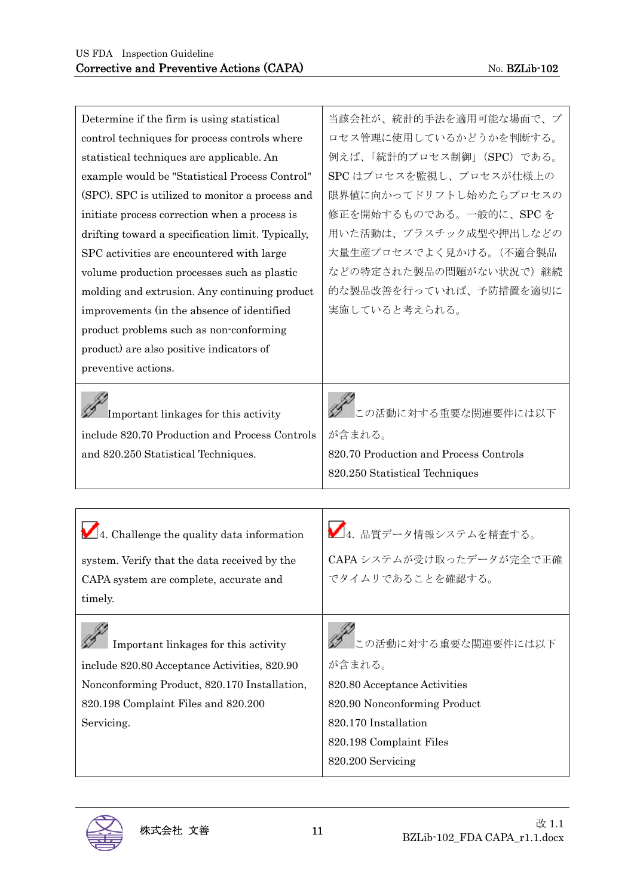| Determine if the firm is using statistical        | 当該会社が、統計的手法を適用可能な場面で、プ                       |
|---------------------------------------------------|----------------------------------------------|
| control techniques for process controls where     | ロセス管理に使用しているかどうかを判断する。                       |
| statistical techniques are applicable. An         | 例えば、「統計的プロセス制御」(SPC) である。                    |
| example would be "Statistical Process Control"    | SPC はプロセスを監視し、プロセスが仕様上の                      |
| (SPC). SPC is utilized to monitor a process and   | 限界値に向かってドリフトし始めたらプロセスの                       |
| initiate process correction when a process is     | 修正を開始するものである。一般的に、SPCを                       |
| drifting toward a specification limit. Typically, | 用いた活動は、プラスチック成型や押出しなどの                       |
| SPC activities are encountered with large         | 大量生産プロセスでよく見かける。(不適合製品                       |
| volume production processes such as plastic       | などの特定された製品の問題がない状況で)継続                       |
| molding and extrusion. Any continuing product     | 的な製品改善を行っていれば、予防措置を適切に                       |
| improvements (in the absence of identified        | 実施していると考えられる。                                |
| product problems such as non-conforming           |                                              |
| product) are also positive indicators of          |                                              |
| preventive actions.                               |                                              |
|                                                   |                                              |
| Important linkages for this activity              | この活動に対する重要な関連要件には以下                          |
| include 820.70 Production and Process Controls    | が含まれる。                                       |
| and 820.250 Statistical Techniques.               | 820.70 Production and Process Controls       |
|                                                   | 820.250 Statistical Techniques               |
|                                                   |                                              |
|                                                   |                                              |
| 4. Challenge the quality data information         | $\sum_{4.}$ 品質データ情報システムを精査する。                |
| system. Verify that the data received by the      | CAPA システムが受け取ったデータが完全で正確                     |
| CAPA system are complete, accurate and            | でタイムリであることを確認する。                             |
| timely.                                           |                                              |
|                                                   |                                              |
|                                                   | の活動に対する重要な関連要件には以下                           |
| Important linkages for this activity              |                                              |
| include 820.80 Acceptance Activities, 820.90      | が含まれる。                                       |
|                                                   |                                              |
| Nonconforming Product, 820.170 Installation,      | 820.80 Acceptance Activities                 |
| 820.198 Complaint Files and 820.200               | 820.90 Nonconforming Product                 |
| Servicing.                                        | 820.170 Installation                         |
|                                                   | 820.198 Complaint Files<br>820.200 Servicing |

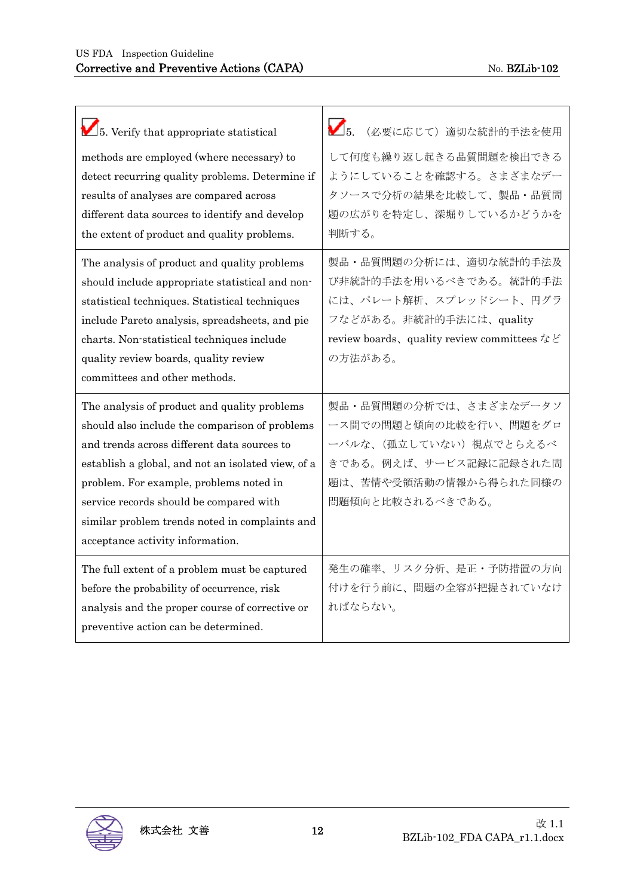| 5. Verify that appropriate statistical<br>methods are employed (where necessary) to<br>detect recurring quality problems. Determine if<br>results of analyses are compared across<br>different data sources to identify and develop<br>the extent of product and quality problems.                                                                                              | (必要に応じて) 適切な統計的手法を使用<br>して何度も繰り返し起きる品質問題を検出できる<br>ようにしていることを確認する。さまざまなデー<br>タソースで分析の結果を比較して、製品・品質問<br>題の広がりを特定し、深堀りしているかどうかを<br>判断する。                           |
|---------------------------------------------------------------------------------------------------------------------------------------------------------------------------------------------------------------------------------------------------------------------------------------------------------------------------------------------------------------------------------|-----------------------------------------------------------------------------------------------------------------------------------------------------------------|
| The analysis of product and quality problems<br>should include appropriate statistical and non-<br>statistical techniques. Statistical techniques<br>include Pareto analysis, spreadsheets, and pie<br>charts. Non-statistical techniques include<br>quality review boards, quality review<br>committees and other methods.                                                     | 製品・品質問題の分析には、適切な統計的手法及<br>び非統計的手法を用いるべきである。統計的手法<br>には、パレート解析、スプレッドシート、円グラ<br>フなどがある。非統計的手法には、quality<br>review boards, quality review committees など<br>の方法がある。 |
| The analysis of product and quality problems<br>should also include the comparison of problems<br>and trends across different data sources to<br>establish a global, and not an isolated view, of a<br>problem. For example, problems noted in<br>service records should be compared with<br>similar problem trends noted in complaints and<br>acceptance activity information. | 製品・品質問題の分析では、さまざまなデータソ<br>ース間での問題と傾向の比較を行い、問題をグロ<br>ーバルな、(孤立していない) 視点でとらえるべ<br>きである。例えば、サービス記録に記録された問<br>題は、苦情や受領活動の情報から得られた同様の<br>問題傾向と比較されるべきである。             |
| The full extent of a problem must be captured<br>before the probability of occurrence, risk<br>analysis and the proper course of corrective or<br>preventive action can be determined.                                                                                                                                                                                          | 発生の確率、リスク分析、是正・予防措置の方向<br>付けを行う前に、問題の全容が把握されていなけ<br>ればならない。                                                                                                     |

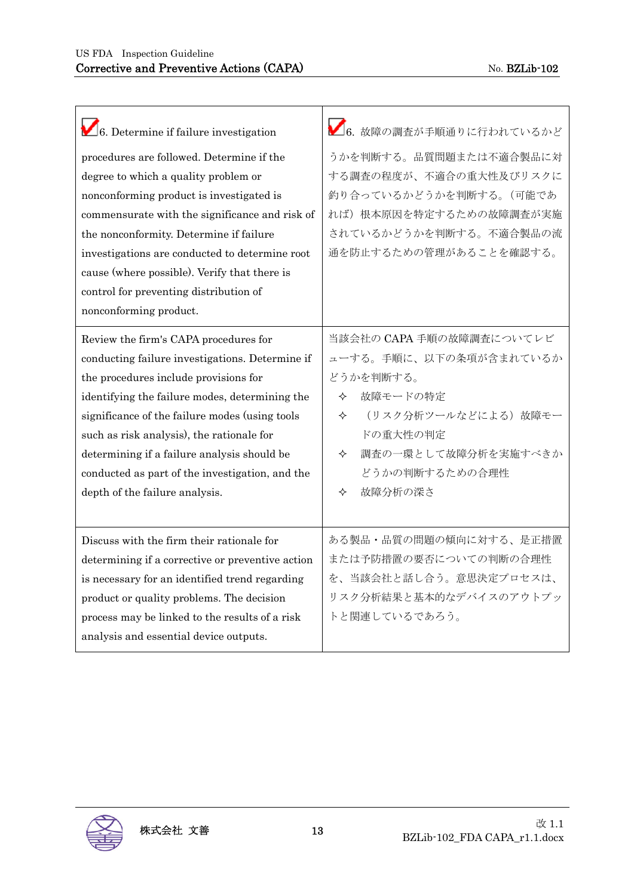| 6. Determine if failure investigation            | 6. 故障の調査が手順通りに行われているかど   |
|--------------------------------------------------|--------------------------|
| procedures are followed. Determine if the        | うかを判断する。品質問題または不適合製品に対   |
| degree to which a quality problem or             | する調査の程度が、不適合の重大性及びリスクに   |
| nonconforming product is investigated is         | 釣り合っているかどうかを判断する。(可能であ   |
| commensurate with the significance and risk of   | れば)根本原因を特定するための故障調査が実施   |
| the nonconformity. Determine if failure          | されているかどうかを判断する。不適合製品の流   |
| investigations are conducted to determine root   | 通を防止するための管理があることを確認する。   |
| cause (where possible). Verify that there is     |                          |
| control for preventing distribution of           |                          |
| nonconforming product.                           |                          |
| Review the firm's CAPA procedures for            | 当該会社の CAPA 手順の故障調査についてレビ |
| conducting failure investigations. Determine if  | ューする。手順に、以下の条項が含まれているか   |
| the procedures include provisions for            | どうかを判断する。                |
| identifying the failure modes, determining the   | 故障モードの特定<br>✧            |
| significance of the failure modes (using tools   | (リスク分析ツールなどによる)故障モー<br>✧ |
| such as risk analysis), the rationale for        | ドの重大性の判定                 |
| determining if a failure analysis should be      | 調査の一環として故障分析を実施すべきか<br>✧ |
| conducted as part of the investigation, and the  | どうかの判断するための合理性           |
| depth of the failure analysis.                   | 故障分析の深さ<br>✧             |
|                                                  |                          |
| Discuss with the firm their rationale for        | ある製品・品質の問題の傾向に対する、是正措置   |
| determining if a corrective or preventive action | または予防措置の要否についての判断の合理性    |
| is necessary for an identified trend regarding   | を、当該会社と話し合う。意思決定プロセスは、   |
| product or quality problems. The decision        | リスク分析結果と基本的なデバイスのアウトプッ   |
| process may be linked to the results of a risk   | トと関連しているであろう。            |
| analysis and essential device outputs.           |                          |

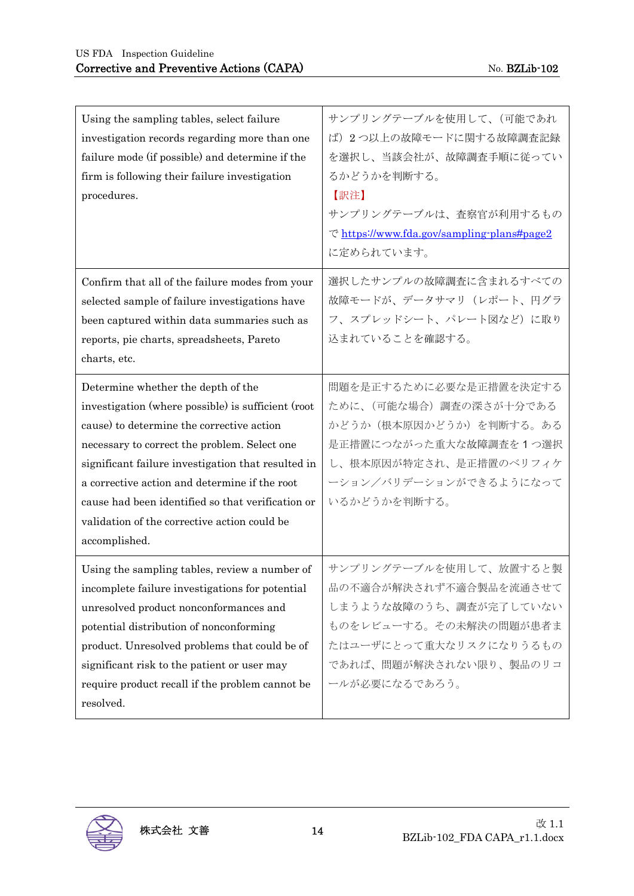| Using the sampling tables, select failure<br>investigation records regarding more than one<br>failure mode (if possible) and determine if the<br>firm is following their failure investigation<br>procedures. | サンプリングテーブルを使用して、(可能であれ<br>ば) 2つ以上の故障モードに関する故障調査記録<br>を選択し、当該会社が、故障調査手順に従ってい<br>るかどうかを判断する。<br>【訳注】<br>サンプリングテーブルは、査察官が利用するもの<br>でhttps://www.fda.gov/sampling-plans#page2<br>に定められています。 |
|---------------------------------------------------------------------------------------------------------------------------------------------------------------------------------------------------------------|-----------------------------------------------------------------------------------------------------------------------------------------------------------------------------------------|
| Confirm that all of the failure modes from your                                                                                                                                                               | 選択したサンプルの故障調査に含まれるすべての                                                                                                                                                                  |
| selected sample of failure investigations have                                                                                                                                                                | 故障モードが、データサマリ(レポート、円グラ                                                                                                                                                                  |
| been captured within data summaries such as                                                                                                                                                                   | フ、スプレッドシート、パレート図など)に取り                                                                                                                                                                  |
| reports, pie charts, spreadsheets, Pareto                                                                                                                                                                     | 込まれていることを確認する。                                                                                                                                                                          |
| charts, etc.                                                                                                                                                                                                  |                                                                                                                                                                                         |
| Determine whether the depth of the                                                                                                                                                                            | 問題を是正するために必要な是正措置を決定する                                                                                                                                                                  |
| investigation (where possible) is sufficient (root                                                                                                                                                            | ために、(可能な場合)調査の深さが十分である                                                                                                                                                                  |
| cause) to determine the corrective action                                                                                                                                                                     | かどうか(根本原因かどうか)を判断する。ある                                                                                                                                                                  |
| necessary to correct the problem. Select one                                                                                                                                                                  | 是正措置につながった重大な故障調査を1つ選択                                                                                                                                                                  |
| significant failure investigation that resulted in                                                                                                                                                            | し、根本原因が特定され、是正措置のベリフィケ                                                                                                                                                                  |
| a corrective action and determine if the root                                                                                                                                                                 | ーション/バリデーションができるようになって                                                                                                                                                                  |
| cause had been identified so that verification or                                                                                                                                                             | いるかどうかを判断する。                                                                                                                                                                            |
| validation of the corrective action could be                                                                                                                                                                  |                                                                                                                                                                                         |
| accomplished.                                                                                                                                                                                                 |                                                                                                                                                                                         |
| Using the sampling tables, review a number of                                                                                                                                                                 | サンプリングテーブルを使用して、放置すると製                                                                                                                                                                  |
| incomplete failure investigations for potential                                                                                                                                                               | 品の不適合が解決されず不適合製品を流通させて                                                                                                                                                                  |
| unresolved product nonconformances and                                                                                                                                                                        | しまうような故障のうち、調査が完了していない                                                                                                                                                                  |
| potential distribution of nonconforming                                                                                                                                                                       | ものをレビューする。その未解決の問題が患者ま                                                                                                                                                                  |
| product. Unresolved problems that could be of                                                                                                                                                                 | たはユーザにとって重大なリスクになりうるもの                                                                                                                                                                  |
| significant risk to the patient or user may                                                                                                                                                                   | であれば、問題が解決されない限り、製品のリコ                                                                                                                                                                  |
| require product recall if the problem cannot be                                                                                                                                                               | ールが必要になるであろう。                                                                                                                                                                           |
| resolved.                                                                                                                                                                                                     |                                                                                                                                                                                         |

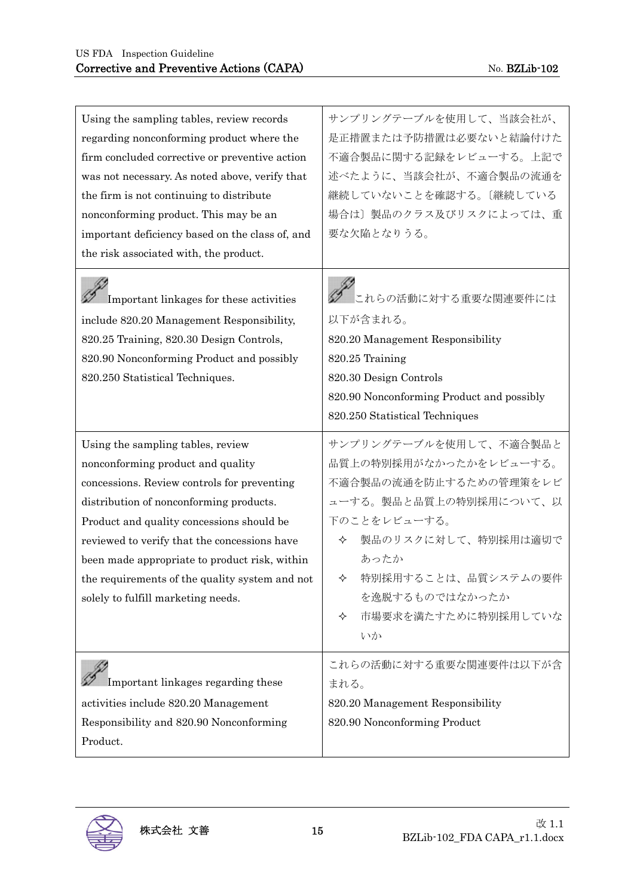| Using the sampling tables, review records<br>regarding nonconforming product where the<br>firm concluded corrective or preventive action<br>was not necessary. As noted above, verify that<br>the firm is not continuing to distribute<br>nonconforming product. This may be an<br>important deficiency based on the class of, and<br>the risk associated with, the product.                           | サンプリングテーブルを使用して、当該会社が、<br>是正措置または予防措置は必要ないと結論付けた<br>不適合製品に関する記録をレビューする。上記で<br>述べたように、当該会社が、不適合製品の流通を<br>継続していないことを確認する。[継続している<br>場合は〕製品のクラス及びリスクによっては、重<br>要な欠陥となりうる。                                                                   |
|--------------------------------------------------------------------------------------------------------------------------------------------------------------------------------------------------------------------------------------------------------------------------------------------------------------------------------------------------------------------------------------------------------|------------------------------------------------------------------------------------------------------------------------------------------------------------------------------------------------------------------------------------------|
| Important linkages for these activities<br>include 820.20 Management Responsibility,<br>820.25 Training, 820.30 Design Controls,<br>820.90 Nonconforming Product and possibly<br>820.250 Statistical Techniques.                                                                                                                                                                                       | 。<br>■これらの活動に対する重要な関連要件には<br>以下が含まれる。<br>820.20 Management Responsibility<br>820.25 Training<br>820.30 Design Controls<br>820.90 Nonconforming Product and possibly<br>820.250 Statistical Techniques                                    |
| Using the sampling tables, review<br>nonconforming product and quality<br>concessions. Review controls for preventing<br>distribution of nonconforming products.<br>Product and quality concessions should be<br>reviewed to verify that the concessions have<br>been made appropriate to product risk, within<br>the requirements of the quality system and not<br>solely to fulfill marketing needs. | サンプリングテーブルを使用して、不適合製品と<br>品質上の特別採用がなかったかをレビューする。<br>不適合製品の流通を防止するための管理策をレビ<br>ューする。製品と品質上の特別採用について、以<br>下のことをレビューする。<br>製品のリスクに対して、特別採用は適切で<br>✧<br>あったか<br>特別採用することは、品質システムの要件<br>✧<br>を逸脱するものではなかったか<br>市場要求を満たすために特別採用していな<br>✧<br>いか |
| Important linkages regarding these<br>activities include 820.20 Management<br>Responsibility and 820.90 Nonconforming<br>Product.                                                                                                                                                                                                                                                                      | これらの活動に対する重要な関連要件は以下が含<br>まれる。<br>820.20 Management Responsibility<br>820.90 Nonconforming Product                                                                                                                                       |

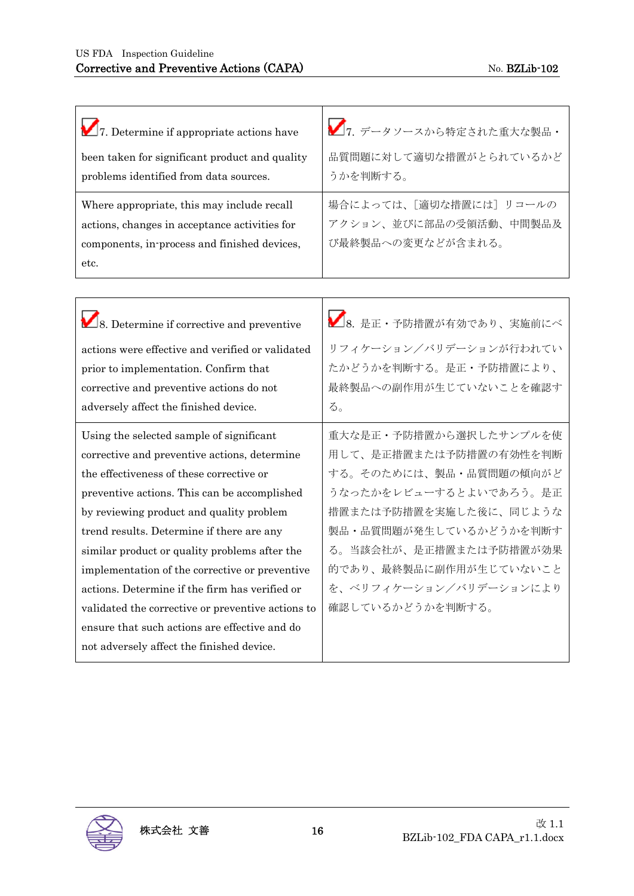| 7. Determine if appropriate actions have<br>been taken for significant product and quality<br>problems identified from data sources.                                                                                                                                                                                                                                                                                                                                                                                                     | ■7. データソースから特定された重大な製品·<br>品質問題に対して適切な措置がとられているかど<br>うかを判断する。                                                                                                                                                                                              |
|------------------------------------------------------------------------------------------------------------------------------------------------------------------------------------------------------------------------------------------------------------------------------------------------------------------------------------------------------------------------------------------------------------------------------------------------------------------------------------------------------------------------------------------|------------------------------------------------------------------------------------------------------------------------------------------------------------------------------------------------------------------------------------------------------------|
| Where appropriate, this may include recall<br>actions, changes in acceptance activities for<br>components, in-process and finished devices,<br>etc.                                                                                                                                                                                                                                                                                                                                                                                      | 場合によっては、[適切な措置には]リコールの<br>アクション、並びに部品の受領活動、中間製品及<br>び最終製品への変更などが含まれる。                                                                                                                                                                                      |
|                                                                                                                                                                                                                                                                                                                                                                                                                                                                                                                                          |                                                                                                                                                                                                                                                            |
| 8. Determine if corrective and preventive                                                                                                                                                                                                                                                                                                                                                                                                                                                                                                | △8. 是正·予防措置が有効であり、実施前にベ                                                                                                                                                                                                                                    |
| actions were effective and verified or validated                                                                                                                                                                                                                                                                                                                                                                                                                                                                                         | リフィケーション/バリデーションが行われてい                                                                                                                                                                                                                                     |
| prior to implementation. Confirm that                                                                                                                                                                                                                                                                                                                                                                                                                                                                                                    | たかどうかを判断する。是正・予防措置により、                                                                                                                                                                                                                                     |
| corrective and preventive actions do not                                                                                                                                                                                                                                                                                                                                                                                                                                                                                                 | 最終製品への副作用が生じていないことを確認す                                                                                                                                                                                                                                     |
| adversely affect the finished device.                                                                                                                                                                                                                                                                                                                                                                                                                                                                                                    | る。                                                                                                                                                                                                                                                         |
| Using the selected sample of significant<br>corrective and preventive actions, determine<br>the effectiveness of these corrective or<br>preventive actions. This can be accomplished<br>by reviewing product and quality problem<br>trend results. Determine if there are any<br>similar product or quality problems after the<br>implementation of the corrective or preventive<br>actions. Determine if the firm has verified or<br>validated the corrective or preventive actions to<br>ensure that such actions are effective and do | 重大な是正・予防措置から選択したサンプルを使<br>用して、是正措置または予防措置の有効性を判断<br>する。そのためには、製品·品質問題の傾向がど<br>うなったかをレビューするとよいであろう。是正<br>措置または予防措置を実施した後に、同じような<br>製品・品質問題が発生しているかどうかを判断す<br>る。当該会社が、是正措置または予防措置が効果<br>的であり、最終製品に副作用が生じていないこと<br>を、ベリフィケーション/バリデーションにより<br>確認しているかどうかを判断する。 |
| not adversely affect the finished device.                                                                                                                                                                                                                                                                                                                                                                                                                                                                                                |                                                                                                                                                                                                                                                            |

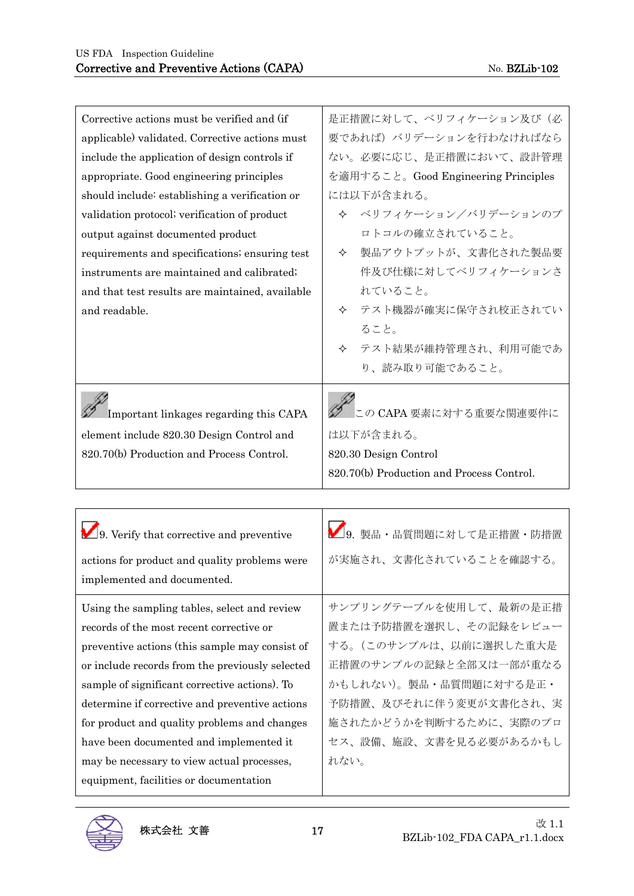| Corrective actions must be verified and (if     | 是正措置に対して、ベリフィケーション及び(必                    |
|-------------------------------------------------|-------------------------------------------|
| applicable) validated. Corrective actions must  | 要であれば)バリデーションを行わなければなら                    |
| include the application of design controls if   | ない。必要に応じ、是正措置において、設計管理                    |
| appropriate. Good engineering principles        | を適用すること。Good Engineering Principles       |
| should include: establishing a verification or  | には以下が含まれる。                                |
| validation protocol; verification of product    | ↓ ベリフィケーション/バリデーションのプ                     |
| output against documented product               | ロトコルの確立されていること。                           |
| requirements and specifications; ensuring test  | 製品アウトプットが、文書化された製品要<br>✧                  |
| instruments are maintained and calibrated.      | 件及び仕様に対してベリフィケーションさ                       |
| and that test results are maintained, available | れていること。                                   |
| and readable.                                   | テスト機器が確実に保守され校正されてい<br>✧                  |
|                                                 | ること。                                      |
|                                                 | テスト結果が維持管理され、利用可能であ<br>✧                  |
|                                                 | り、読み取り可能であること。                            |
| Important linkages regarding this CAPA          | この CAPA 要素に対する重要な関連要件に                    |
| element include 820.30 Design Control and       | は以下が含まれる。                                 |
| 820.70(b) Production and Process Control.       | 820.30 Design Control                     |
|                                                 | 820.70(b) Production and Process Control. |

| $\Box$ 9. Verify that corrective and preventive | 9. 製品・品質問題に対して是正措置・防措置 |
|-------------------------------------------------|------------------------|
| actions for product and quality problems were   | が実施され、文書化されていることを確認する。 |
| implemented and documented.                     |                        |
| Using the sampling tables, select and review    | サンプリングテーブルを使用して、最新の是正措 |
| records of the most recent corrective or        | 置または予防措置を選択し、その記録をレビュー |
| preventive actions (this sample may consist of  | する。(このサンプルは、以前に選択した重大是 |
| or include records from the previously selected | 正措置のサンプルの記録と全部又は一部が重なる |
| sample of significant corrective actions). To   | かもしれない)。製品・品質問題に対する是正・ |
| determine if corrective and preventive actions  | 予防措置、及びそれに伴う変更が文書化され、実 |
| for product and quality problems and changes    | 施されたかどうかを判断するために、実際のプロ |
| have been documented and implemented it         | セス、設備、施設、文書を見る必要があるかもし |
| may be necessary to view actual processes,      | れない。                   |
| equipment, facilities or documentation          |                        |

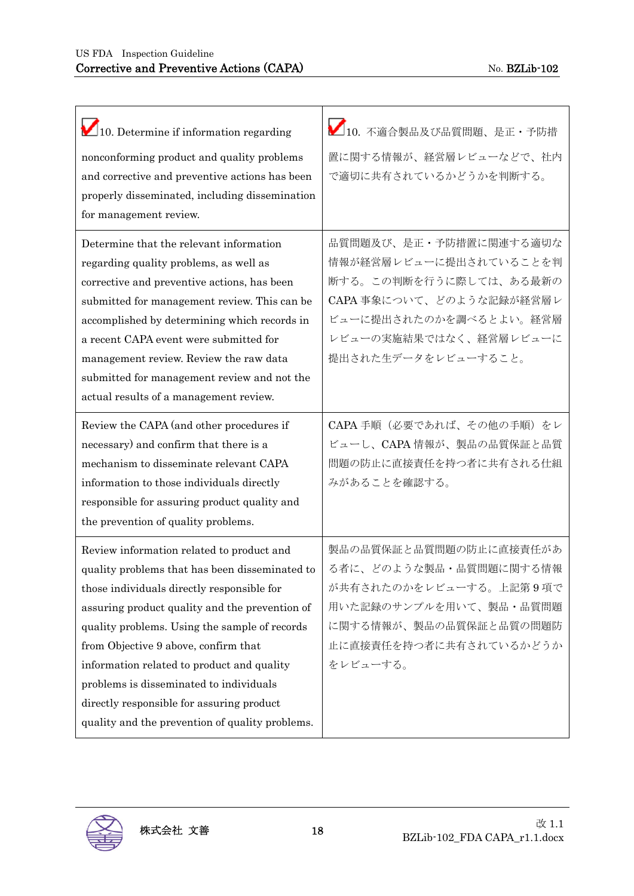| 10. Determine if information regarding                                                                                                                                                                                                                                                                                                                                                                                                                                        | ■10. 不適合製品及び品質問題、是正・予防措                                                                                                                                                          |
|-------------------------------------------------------------------------------------------------------------------------------------------------------------------------------------------------------------------------------------------------------------------------------------------------------------------------------------------------------------------------------------------------------------------------------------------------------------------------------|----------------------------------------------------------------------------------------------------------------------------------------------------------------------------------|
| nonconforming product and quality problems<br>and corrective and preventive actions has been<br>properly disseminated, including dissemination<br>for management review.                                                                                                                                                                                                                                                                                                      | 置に関する情報が、経営層レビューなどで、社内<br>で適切に共有されているかどうかを判断する。                                                                                                                                  |
| Determine that the relevant information<br>regarding quality problems, as well as<br>corrective and preventive actions, has been<br>submitted for management review. This can be<br>accomplished by determining which records in<br>a recent CAPA event were submitted for<br>management review. Review the raw data<br>submitted for management review and not the<br>actual results of a management review.                                                                 | 品質問題及び、是正・予防措置に関連する適切な<br>情報が経営層レビューに提出されていることを判<br>断する。この判断を行うに際しては、ある最新の<br>CAPA事象について、どのような記録が経営層レ<br>ビューに提出されたのかを調べるとよい。経営層<br>レビューの実施結果ではなく、経営層レビューに<br>提出された生データをレビューすること。 |
| Review the CAPA (and other procedures if<br>necessary) and confirm that there is a<br>mechanism to disseminate relevant CAPA<br>information to those individuals directly<br>responsible for assuring product quality and<br>the prevention of quality problems.                                                                                                                                                                                                              | CAPA 手順(必要であれば、その他の手順)をレ<br>ビューし、CAPA情報が、製品の品質保証と品質<br>問題の防止に直接責任を持つ者に共有される仕組<br>みがあることを確認する。                                                                                    |
| Review information related to product and<br>quality problems that has been disseminated to<br>those individuals directly responsible for<br>assuring product quality and the prevention of<br>quality problems. Using the sample of records<br>from Objective 9 above, confirm that<br>information related to product and quality<br>problems is disseminated to individuals<br>directly responsible for assuring product<br>quality and the prevention of quality problems. | 製品の品質保証と品質問題の防止に直接責任があ<br>る者に、どのような製品·品質問題に関する情報<br>が共有されたのかをレビューする。上記第9項で<br>用いた記録のサンプルを用いて、製品・品質問題<br>に関する情報が、製品の品質保証と品質の問題防<br>止に直接責任を持つ者に共有されているかどうか<br>をレビューする。             |